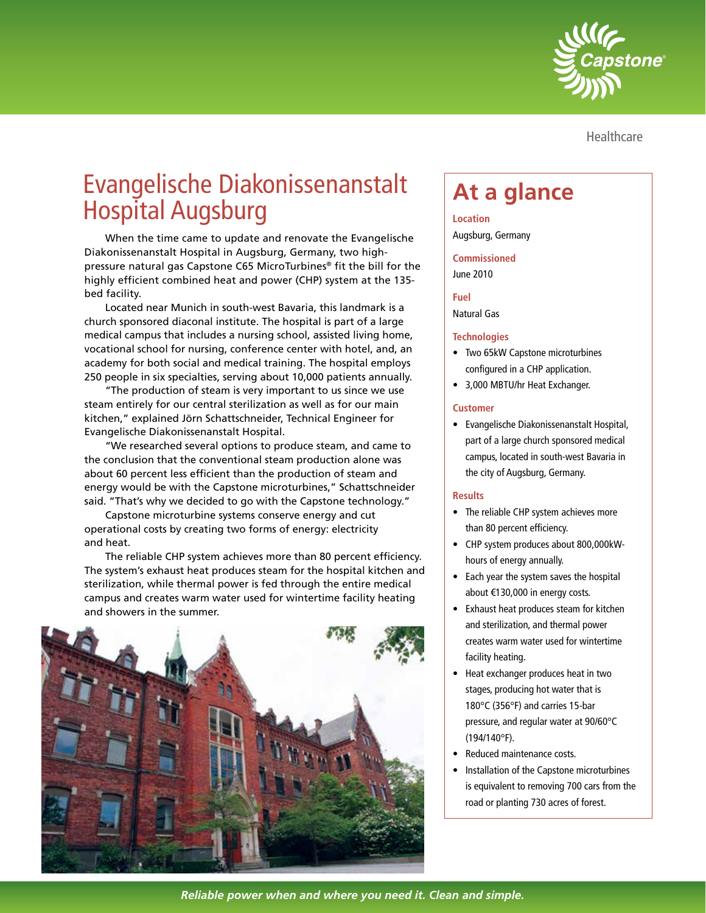

**Healthcare** 

# Evangelische Diakonissenanstalt Evangelische Diakonissenanstalt <sub>|</sub> At a glance<br>Hospital Augsburg

When the time came to update and renovate the Evangelische Diakonissenanstalt Hospital in Augsburg, Germany, two highpressure natural gas Capstone C65 MicroTurbines® fit the bill for the highly efficient combined heat and power (CHP) system at the 135 bed facility.

Located near Munich in south-west Bavaria, this landmark is a church sponsored diaconal institute. The hospital is part of a large medical campus that includes a nursing school, assisted living home, vocational school for nursing, conference center with hotel, and, an academy for both social and medical training. The hospital employs 250 people in six specialties, serving about 10,000 patients annually.

"The production of steam is very important to us since we use steam entirely for our central sterilization as well as for our main kitchen," explained Jörn Schattschneider, Technical Engineer for Evangelische Diakonissenanstalt Hospital.

"We researched several options to produce steam, and came to the conclusion that the conventional steam production alone was about 60 percent less efficient than the production of steam and energy would be with the Capstone microturbines," Schattschneider said. "That's why we decided to go with the Capstone technology."

Capstone microturbine systems conserve energy and cut operational costs by creating two forms of energy: electricity and heat.

The reliable CHP system achieves more than 80 percent efficiency. The system's exhaust heat produces steam for the hospital kitchen and sterilization, while thermal power is fed through the entire medical campus and creates warm water used for wintertime facility heating and showers in the summer.



**Location** Augsburg, Germany

# **Commissioned**

June 2010

# **Fuel**

Natural Gas

# **Technologies**

- Two 65kW Capstone microturbines configured in a CHP application.
- 3,000 MBTU/hr Heat Exchanger.

# **Customer**

• Evangelische Diakonissenanstalt Hospital, part of a large church sponsored medical campus, located in south-west Bavaria in the city of Augsburg, Germany.

### **Results**

- The reliable CHP system achieves more than 80 percent efficiency.
- CHP system produces about 800,000kWhours of energy annually.
- Each year the system saves the hospital about €130,000 in energy costs.
- Exhaust heat produces steam for kitchen and sterilization, and thermal power creates warm water used for wintertime facility heating.
- Heat exchanger produces heat in two stages, producing hot water that is 180°C (356°F) and carries 15-bar pressure, and regular water at 90/60°C (194/140°F).
- Reduced maintenance costs.
- Installation of the Capstone microturbines is equivalent to removing 700 cars from the road or planting 730 acres of forest.

*Reliable power when and where you need it. Clean and simple.*